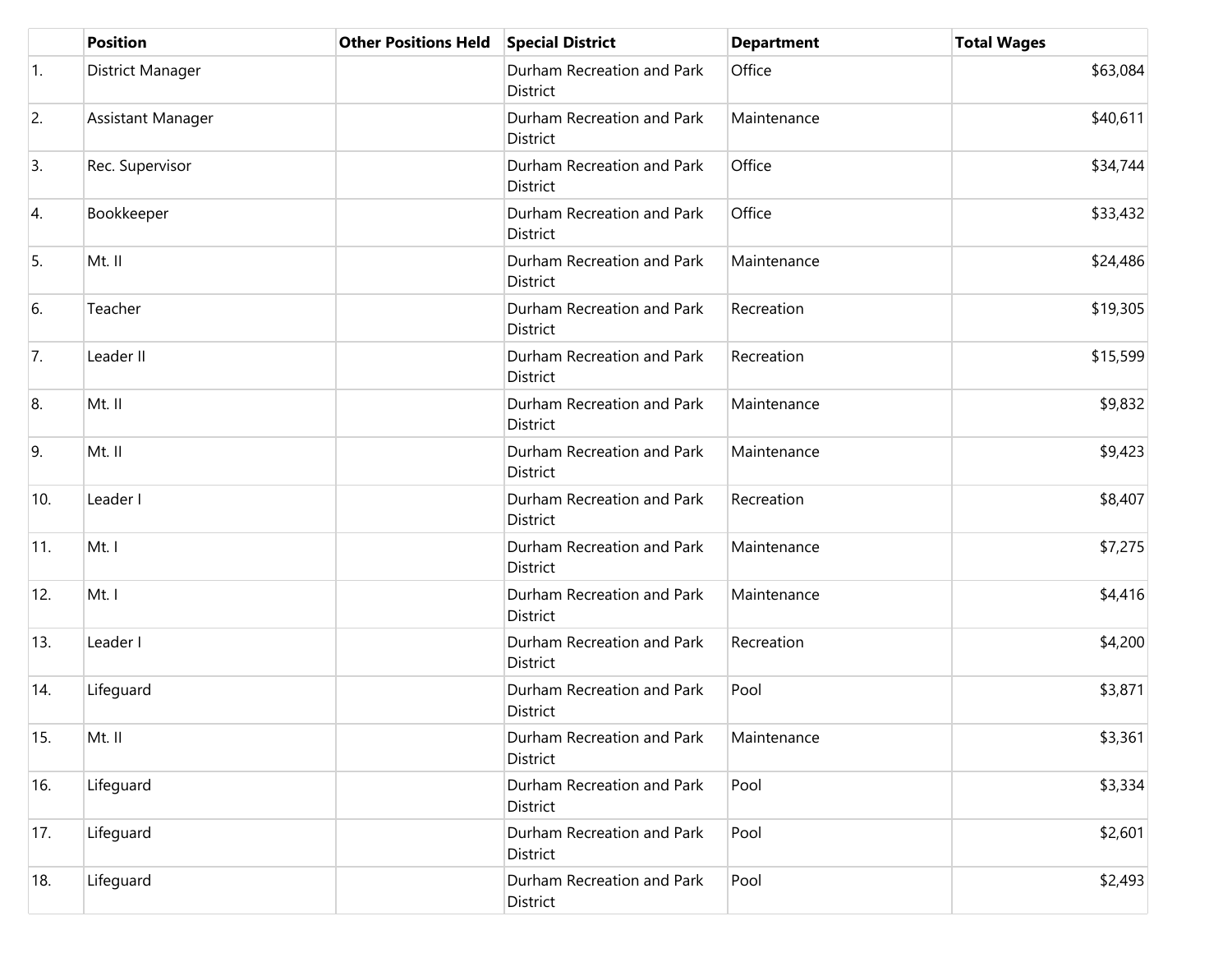|              | <b>Position</b>   | <b>Other Positions Held</b> | <b>Special District</b>                | <b>Department</b> | <b>Total Wages</b> |
|--------------|-------------------|-----------------------------|----------------------------------------|-------------------|--------------------|
| $\vert$ 1.   | District Manager  |                             | Durham Recreation and Park<br>District | Office            | \$63,084           |
| 2.           | Assistant Manager |                             | Durham Recreation and Park<br>District | Maintenance       | \$40,611           |
| 3.           | Rec. Supervisor   |                             | Durham Recreation and Park<br>District | Office            | \$34,744           |
| 4.           | Bookkeeper        |                             | Durham Recreation and Park<br>District | Office            | \$33,432           |
| 5.           | Mt. II            |                             | Durham Recreation and Park<br>District | Maintenance       | \$24,486           |
| 6.           | Teacher           |                             | Durham Recreation and Park<br>District | Recreation        | \$19,305           |
| 7.           | Leader II         |                             | Durham Recreation and Park<br>District | Recreation        | \$15,599           |
| 8.           | Mt. II            |                             | Durham Recreation and Park<br>District | Maintenance       | \$9,832            |
| 9.           | Mt. II            |                             | Durham Recreation and Park<br>District | Maintenance       | \$9,423            |
| 10.          | Leader I          |                             | Durham Recreation and Park<br>District | Recreation        | \$8,407            |
| $ 11\rangle$ | Mt. I             |                             | Durham Recreation and Park<br>District | Maintenance       | \$7,275            |
| 12.          | Mt. I             |                             | Durham Recreation and Park<br>District | Maintenance       | \$4,416            |
| 13.          | Leader I          |                             | Durham Recreation and Park<br>District | Recreation        | \$4,200            |
| 14.          | Lifeguard         |                             | Durham Recreation and Park<br>District | Pool              | \$3,871            |
| 15.          | Mt. II            |                             | Durham Recreation and Park<br>District | Maintenance       | \$3,361            |
| 16.          | Lifeguard         |                             | Durham Recreation and Park<br>District | Pool              | \$3,334            |
| 17.          | Lifeguard         |                             | Durham Recreation and Park<br>District | Pool              | \$2,601            |
| 18.          | Lifeguard         |                             | Durham Recreation and Park<br>District | Pool              | \$2,493            |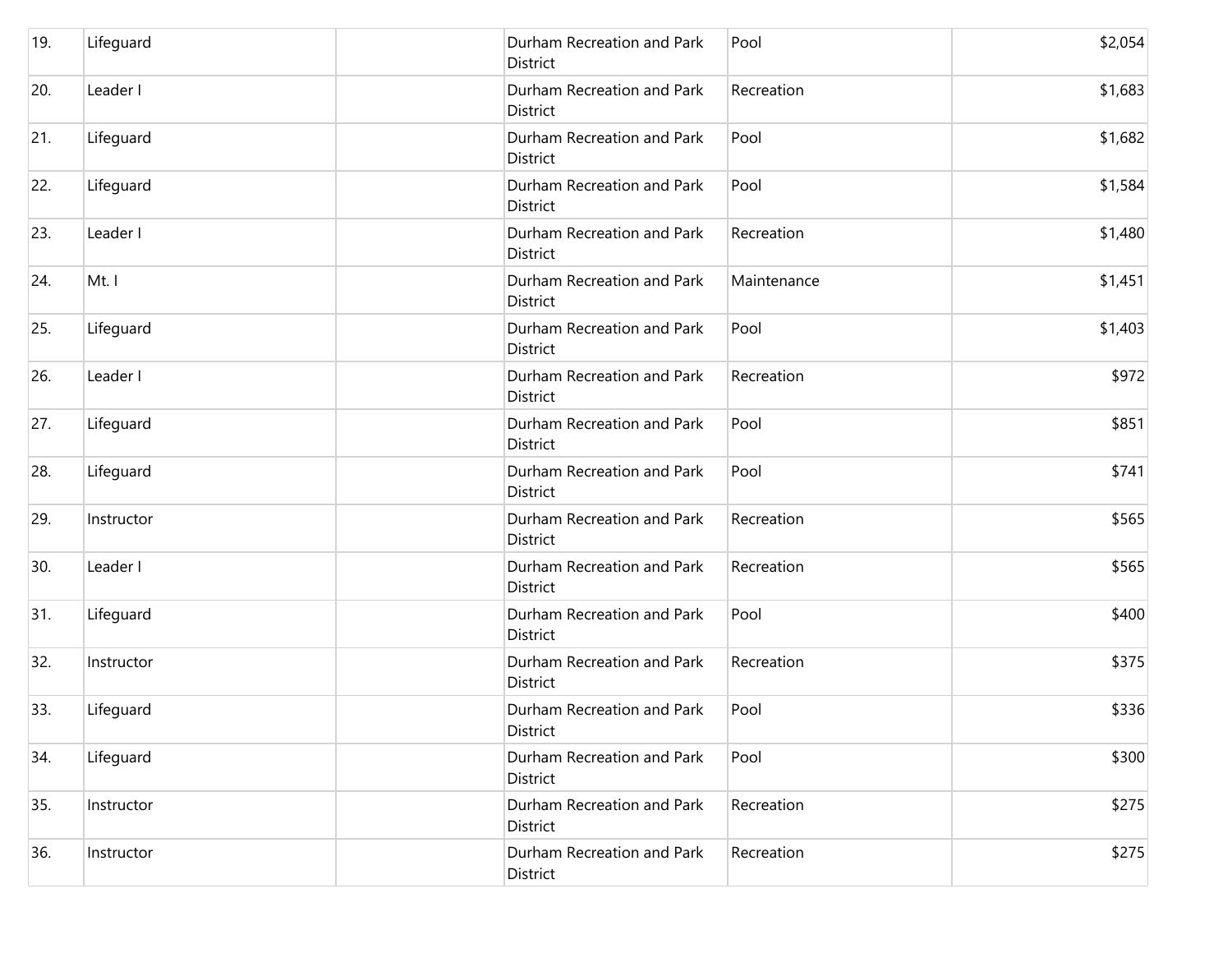| 19. | Lifeguard  | District | Durham Recreation and Park<br>Pool        | \$2,054 |
|-----|------------|----------|-------------------------------------------|---------|
| 20. | Leader I   | District | Durham Recreation and Park<br>Recreation  | \$1,683 |
| 21. | Lifeguard  | District | Durham Recreation and Park<br>Pool        | \$1,682 |
| 22. | Lifeguard  | District | Durham Recreation and Park<br>Pool        | \$1,584 |
| 23. | Leader I   | District | Durham Recreation and Park<br>Recreation  | \$1,480 |
| 24. | Mt. I      | District | Durham Recreation and Park<br>Maintenance | \$1,451 |
| 25. | Lifeguard  | District | Durham Recreation and Park<br>Pool        | \$1,403 |
| 26. | Leader I   | District | Durham Recreation and Park<br>Recreation  | \$972   |
| 27. | Lifeguard  | District | Durham Recreation and Park<br>Pool        | \$851   |
| 28. | Lifeguard  | District | Durham Recreation and Park<br>Pool        | \$741   |
| 29. | Instructor | District | Durham Recreation and Park<br>Recreation  | \$565   |
| 30. | Leader I   | District | Durham Recreation and Park<br>Recreation  | \$565   |
| 31. | Lifeguard  | District | Durham Recreation and Park<br>Pool        | \$400   |
| 32. | Instructor | District | Durham Recreation and Park<br>Recreation  | \$375   |
| 33. | Lifeguard  | District | Durham Recreation and Park<br>Pool        | \$336   |
| 34. | Lifeguard  | District | Durham Recreation and Park<br>Pool        | \$300   |
| 35. | Instructor | District | Durham Recreation and Park<br>Recreation  | \$275   |
| 36. | Instructor | District | Durham Recreation and Park<br>Recreation  | \$275   |